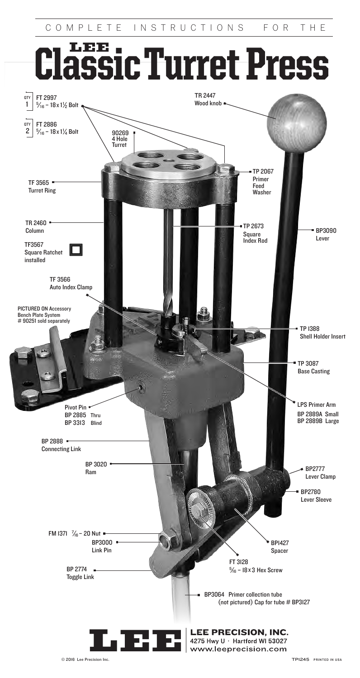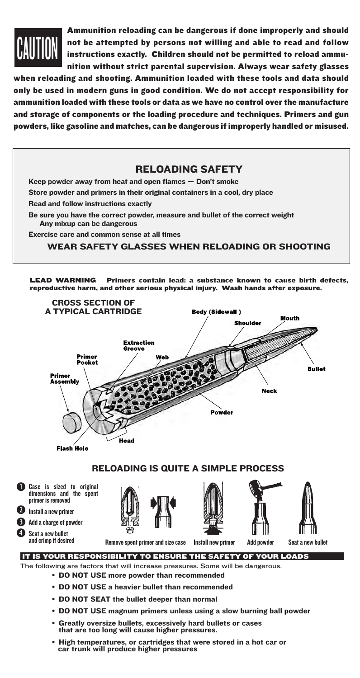

 $\ddot{\text{o}}$ 

 $\ddot{\mathbf{e}}$ 

 $\ddot{\mathbf{0}}$ 

Ammunition reloading can be dangerous if done improperly and should not be attempted by persons not willing and able to read and follow instructions exactly. Children should not be permitted to reload ammunition without strict parental supervision. Always wear safety glasses

when reloading and shooting. Ammunition loaded with these tools and data should only be used in modern guns in good condition. We do not accept responsibility for ammunition loaded with these tools or data as we have no control over the manufacture and storage of components or the loading procedure and techniques. Primers and gun powders, like gasoline and matches, can be dangerous if improperly handled or misused.

### RELOADING SAFETY

Keep powder away from heat and open flames — Don't smoke

Store powder and primers in their original containers in a cool, dry place

Read and follow instructions exactly

Be sure you have the correct powder, measure and bullet of the correct weight Any mixup can be dangerous

Exercise care and common sense at all times

WEAR SAFETY GLASSES WHEN RELOADING OR SHOOTING

LEAD WARNING Primers contain lead: a substance known to cause birth defects, reproductive harm, and other serious physical injury. Wash hands after exposure.



- DO NOT SEAT the bullet deeper than normal
- DO NOT USE magnum primers unless using a slow burning ball powder
- Greatly oversize bullets, excessively hard bullets or cases that are too long will cause higher pressures.
- High temperatures, or cartridges that were stored in a hot car or car trunk will produce higher pressures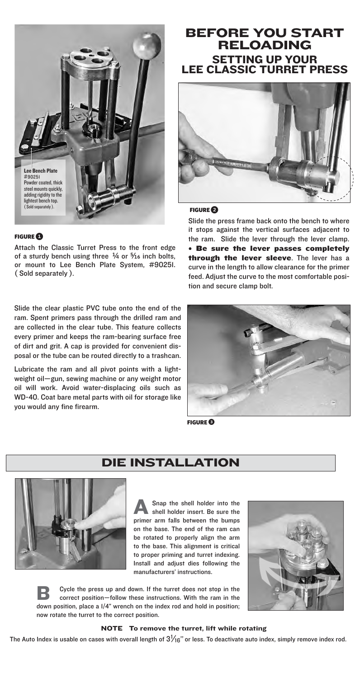

### **FIGURE**<sup>1</sup>

Attach the Classic Turret Press to the front edge of a sturdy bench using three  $\frac{1}{4}$  or  $\frac{5}{16}$  inch bolts, or mount to Lee Bench Plate System, #90251. ( Sold separately ).

Slide the clear plastic PVC tube onto the end of the ram. Spent primers pass through the drilled ram and are collected in the clear tube. This feature collects every primer and keeps the ram-bearing surface free of dirt and grit. A cap is provided for convenient disposal or the tube can be routed directly to a trashcan.

Lubricate the ram and all pivot points with a lightweight oil—gun, sewing machine or any weight motor oil will work. Avoid water-displacing oils such as WD-40. Coat bare metal parts with oil for storage like you would any fine firearm.

# BEFORE YOU START RELOADING SETTING UP YOUR LEE CLASSIC TURRET PRESS



### FIGURE<sup>2</sup>

Slide the press frame back onto the bench to where it stops against the vertical surfaces adjacent to the ram. Slide the lever through the lever clamp. •    Be sure the lever passes completely through the lever sleeve. The lever has a curve in the length to allow clearance for the primer feed. Adjust the curve to the most comfortable position and secure clamp bolt.



FIGURE**�**

## DIE INSTALLATION



A Snap the shell holder into the shell holder insert. Be sure the primer arm falls between the bumps on the base. The end of the ram can be rotated to properly align the arm to the base. This alignment is critical to proper priming and turret indexing. Install and adjust dies following the manufacturers' instructions.



**B** Cycle the press up and down. If the turret does not stop in the correct position—follow these instructions. With the ram in the down position, place a 1/4" wrench on the index rod and hold in position; now rotate the turret to the correct position.

### NOTE To remove the turret, lift while rotating

The Auto Index is usable on cases with overall length of  $3\frac{1}{6}$ " or less. To deactivate auto index, simply remove index rod.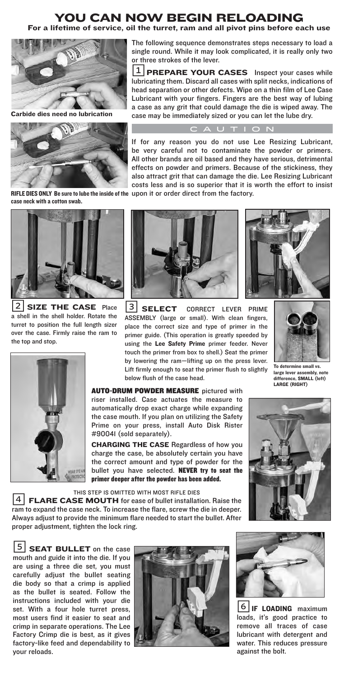### YOU CAN NOW BEGIN RELOADING For a lifetime of service, oil the turret, ram and all pivot pins before each use

 $1$  **PREPARE YOUR CASES** Inspect your cases while

case may be immediately sized or you can let the lube dry. CAUTION



Carbide dies need no lubrication



RIFLE DIES ONLY Be sure to lube the inside of the upon it or order direct from the factory. case neck with a cotton swab.



 $2$  SIZE THE CASE Place a shell in the shell holder. Rotate the turret to position the full length sizer over the case. Firmly raise the ram to the top and stop.





**3 SELECT** CORRECT LEVER PRIME ASSEMBLY (large or small). With clean fingers, place the correct size and type of primer in the primer guide. (This operation is greatly speeded by using the Lee Safety Prime primer feeder. Never touch the primer from box to shell.) Seat the primer by lowering the ram—lifting up on the press lever. Lift firmly enough to seat the primer flush to slightly below flush of the case head.

**AUTO-DRUM POWDER MEASURE** pictured with riser installed. Case actuates the measure to automatically drop exact charge while expanding the case mouth. If you plan on utilizing the Safety Prime on your press, install Auto Disk Rister #90041 (sold separately).

**CHARGING THE CASE** Regardless of how you charge the case, be absolutely certain you have the correct amount and type of powder for the bullet you have selected. NEVER try to seat the primer deeper after the powder has been added.

THIS STEP IS OMITTED WITH MOST RIFLE DIES<br>4 **FLARE CASE MOUTH** for ease of bullet installation. Raise the ram to expand the case neck. To increase the flare, screw the die in deeper. Always adjust to provide the minimum flare needed to start the bullet. After proper adjustment, tighten the lock ring.

 $\left|5\right|$  SEAT BULLET on the case mouth and guide it into the die. If you are using a three die set, you must carefully adjust the bullet seating die body so that a crimp is applied as the bullet is seated. Follow the instructions included with your die set. With a four hole turret press, most users find it easier to seat and crimp in separate operations. The Lee Factory Crimp die is best, as it gives factory-like feed and dependability to your reloads.





6 | **IF LOADING** maximum loads, it's good practice to remove all traces of case lubricant with detergent and water. This reduces pressure against the bolt.



To determine small vs. large lever as: difference, SMALL (left) LARGE (RIGHT)

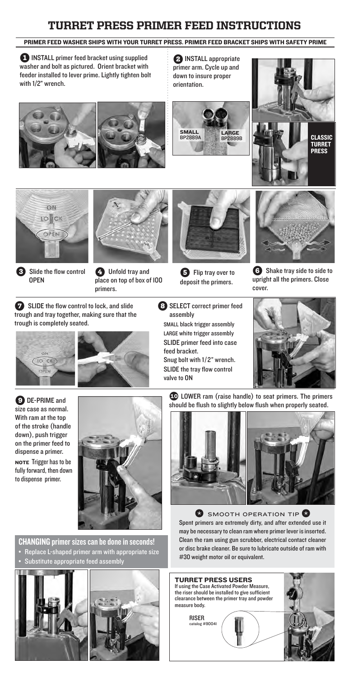# TURRET PRESS PRIMER FEED INSTRUCTIONS

### PRIMER FEED WASHER SHIPS WITH YOUR TURRET PRESS. PRIMER FEED BRACKET SHIPS WITH SAFETY PRIME

1 INSTALL primer feed bracket using supplied washer and bolt as pictured. Orient bracket with feeder installed to lever prime. Lightly tighten bolt with 1/2" wrench.

2 **INSTALL** appropriate primer arm. Cycle up and down to insure proper orientation.







Slide the flow control OPEN



4 Unfold tray and place on top of box of 100 primers.



**5** Flip tray over to deposit the primers.



**6** Shake tray side to side to upright all the primers. Close cover.

**2** SLIDE the flow control to lock, and slide trough and tray together, making sure that the trough is completely seated.





8 SELECT correct primer feed assembly small black trigger assembly LARGE white trigger assembly SLIDE primer feed into case feed bracket. Snug bolt with 1/ 2" wrench. SLIDE the tray flow control valve to ON



9 DE-PRIME and size case as normal. With ram at the top of the stroke (handle down), push trigger on the primer feed to dispense a primer. NOTE Trigger has to be fully forward, then down to dispense primer.



CHANGING primer sizes can be done in seconds!

- Replace L-shaped primer arm with appropriate size
- Substitute appropriate feed assembly



**��** LOWER ram (raise handle) to seat primers. The primers should be flush to slightly below flush when properly seated.



**SMOOTH OPERATION TIP &** Spent primers are extremely dirty, and after extended use it may be necessary to clean ram where primer lever is inserted. Clean the ram using gun scrubber, electrical contact cleaner or disc brake cleaner. Be sure to lubricate outside of ram with #30 weight motor oil or equivalent.